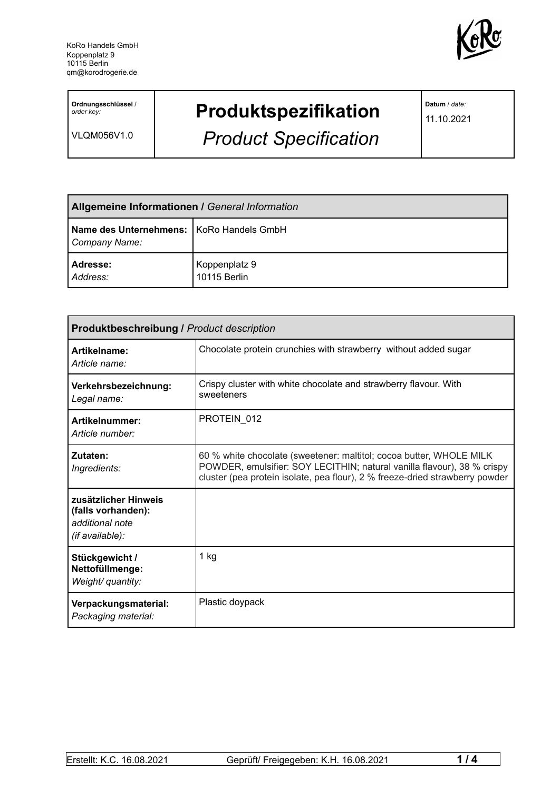

**Ordnungsschlüssel** / *order key:*

VLQM056V1.0

## **Produktspezifikation**

*Product Specification*

**Datum** / *date:*

11.10.2021

| Allgemeine Informationen / General Information            |                               |  |
|-----------------------------------------------------------|-------------------------------|--|
| Name des Unternehmens: KoRo Handels GmbH<br>Company Name: |                               |  |
| Adresse:<br>Address:                                      | Koppenplatz 9<br>10115 Berlin |  |

| Produktbeschreibung / Product description                                        |                                                                                                                                                                                                                                |  |
|----------------------------------------------------------------------------------|--------------------------------------------------------------------------------------------------------------------------------------------------------------------------------------------------------------------------------|--|
| Artikelname:<br>Article name:                                                    | Chocolate protein crunchies with strawberry without added sugar                                                                                                                                                                |  |
| Verkehrsbezeichnung:<br>Legal name:                                              | Crispy cluster with white chocolate and strawberry flavour. With<br>sweeteners                                                                                                                                                 |  |
| Artikelnummer:<br>Article number:                                                | PROTEIN 012                                                                                                                                                                                                                    |  |
| Zutaten:<br>Ingredients:                                                         | 60 % white chocolate (sweetener: maltitol; cocoa butter, WHOLE MILK<br>POWDER, emulsifier: SOY LECITHIN; natural vanilla flavour), 38 % crispy<br>cluster (pea protein isolate, pea flour), 2 % freeze-dried strawberry powder |  |
| zusätzlicher Hinweis<br>(falls vorhanden):<br>additional note<br>(if available): |                                                                                                                                                                                                                                |  |
| Stückgewicht /<br>Nettofüllmenge:<br>Weight/ quantity:                           | $1$ kg                                                                                                                                                                                                                         |  |
| Verpackungsmaterial:<br>Packaging material:                                      | Plastic doypack                                                                                                                                                                                                                |  |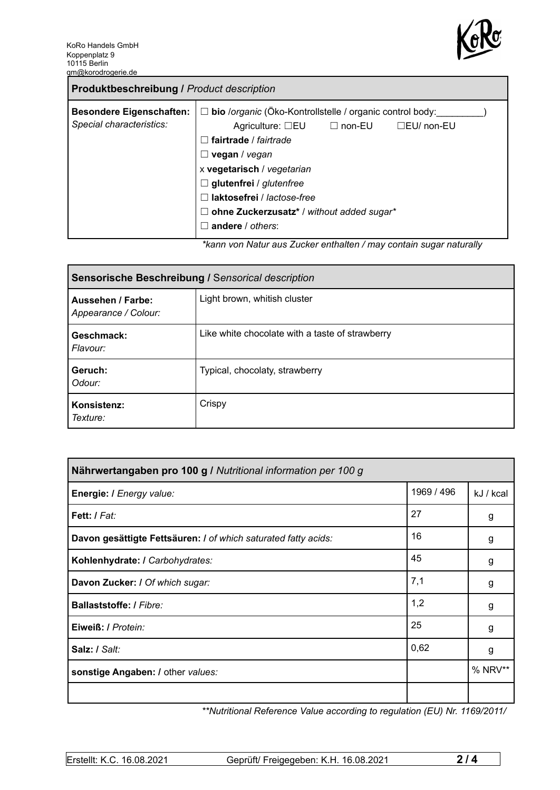

| <b>Produktbeschreibung / Product description</b>            |                                                                                                                                                                                                                                                                                                                                                    |  |  |
|-------------------------------------------------------------|----------------------------------------------------------------------------------------------------------------------------------------------------------------------------------------------------------------------------------------------------------------------------------------------------------------------------------------------------|--|--|
| <b>Besondere Eigenschaften:</b><br>Special characteristics: | □ bio /organic (Öko-Kontrollstelle / organic control body:<br>Agriculture: $\square$ EU $\square$ non-EU<br>$\Box$ EU/ non-EU<br>fairtrade / fairtrade<br>vegan / vegan<br>ш<br>x vegetarisch / vegetarian<br>$\Box$ glutenfrei / glutenfree<br>laktosefrei / lactose-free<br>$\Box$ ohne Zuckerzusatz* / without added sugar*<br>andere / others: |  |  |
|                                                             | *konnuga Naturaus Zueker enthelten / may centain sugar neturally                                                                                                                                                                                                                                                                                   |  |  |

*\*kann von Natur aus Zucker enthalten / may contain sugar naturally*

| Sensorische Beschreibung / Sensorical description |                                                 |  |
|---------------------------------------------------|-------------------------------------------------|--|
| Aussehen / Farbe:<br>Appearance / Colour:         | Light brown, whitish cluster                    |  |
| Geschmack:<br>Flavour:                            | Like white chocolate with a taste of strawberry |  |
| Geruch:<br>Odour:                                 | Typical, chocolaty, strawberry                  |  |
| Konsistenz:<br>Texture:                           | Crispy                                          |  |

| Nährwertangaben pro 100 g / Nutritional information per 100 g  |            |           |
|----------------------------------------------------------------|------------|-----------|
| Energie: I Energy value:                                       | 1969 / 496 | kJ / kcal |
| Fett: / Fat:                                                   | 27         | g         |
| Davon gesättigte Fettsäuren: I of which saturated fatty acids: | 16         | g         |
| Kohlenhydrate: I Carbohydrates:                                | 45         | g         |
| Davon Zucker: / Of which sugar:                                | 7,1        | g         |
| Ballaststoffe: / Fibre:                                        | 1,2        | g         |
| Eiweiß: / Protein:                                             | 25         | g         |
| Salz: / Salt:                                                  | 0,62       | g         |
| sonstige Angaben: / other values:                              |            | % NRV**   |
|                                                                |            |           |

*\*\*Nutritional Reference Value according to regulation (EU) Nr. 1169/2011/*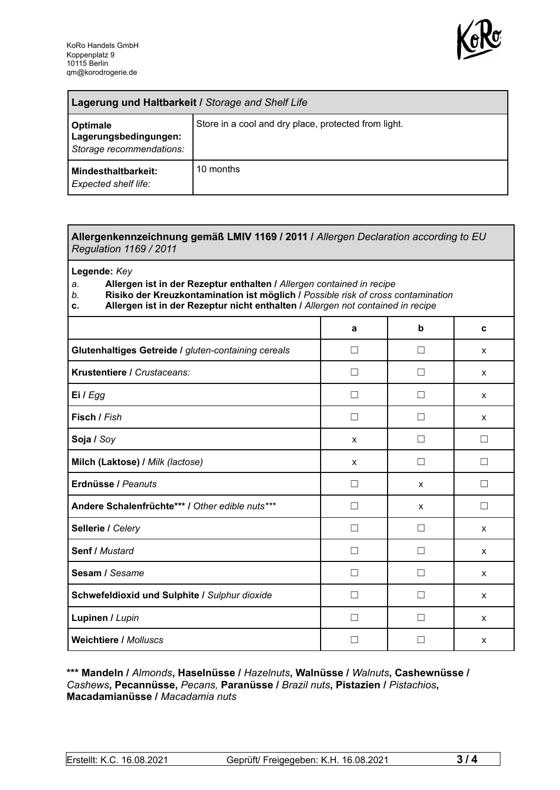

| Lagerung und Haltbarkeit / Storage and Shelf Life             |                                                      |  |
|---------------------------------------------------------------|------------------------------------------------------|--|
| Optimale<br>Lagerungsbedingungen:<br>Storage recommendations: | Store in a cool and dry place, protected from light. |  |
| Mindesthaltbarkeit:<br><b>Expected shelf life:</b>            | 10 months                                            |  |

## **Allergenkennzeichnung gemäß LMIV 1169 / 2011 /** *Allergen Declaration according to EU Regulation 1169 / 2011*

**Legende:** *Key*

*a.* **Allergen ist in der Rezeptur enthalten /** *Allergen contained in recipe*

- *b.* **Risiko der Kreuzkontamination ist möglich /** *Possible risk of cross contamination*
- **c. Allergen ist in der Rezeptur nicht enthalten /** *Allergen not contained in recipe*

|                                                     | a                 | b                 | C            |
|-----------------------------------------------------|-------------------|-------------------|--------------|
| Glutenhaltiges Getreide / gluten-containing cereals | П                 | H                 | X            |
| Krustentiere / Crustaceans:                         | $\mathsf{L}$      | $\vert \ \ \vert$ | X            |
| Ei / Egg                                            | Ш                 |                   | X            |
| Fisch / Fish                                        |                   |                   | $\mathsf{x}$ |
| Soja / Soy                                          | X                 |                   |              |
| Milch (Laktose) / Milk (lactose)                    | X                 |                   |              |
| Erdnüsse / Peanuts                                  | П                 | X                 | П            |
| Andere Schalenfrüchte*** / Other edible nuts***     | П                 | X                 | П            |
| Sellerie / Celery                                   | Ш                 |                   | X            |
| <b>Senf / Mustard</b>                               | П                 | $\vert \ \ \vert$ | X            |
| Sesam / Sesame                                      |                   |                   | X            |
| Schwefeldioxid und Sulphite / Sulphur dioxide       | $\vert \ \ \vert$ |                   | X            |
| Lupinen / Lupin                                     |                   |                   | X            |
| <b>Weichtiere / Molluscs</b>                        |                   |                   | X            |

## **\*\*\* Mandeln /** *Almonds***, Haselnüsse /** *Hazelnuts***, Walnüsse /** *Walnuts***, Cashewnüsse /** *Cashews***, Pecannüsse,** *Pecans,* **Paranüsse /** *Brazil nuts***, Pistazien /** *Pistachios***, Macadamianüsse /** *Macadamia nuts*